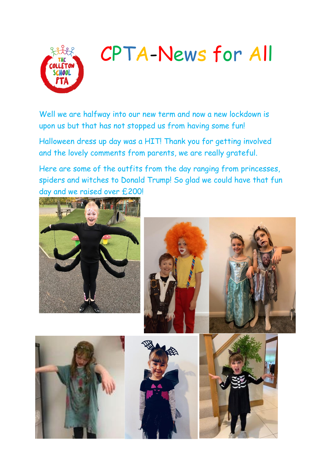

# CPTA-News for All

Well we are halfway into our new term and now a new lockdown is upon us but that has not stopped us from having some fun!

Halloween dress up day was a HIT! Thank you for getting involved and the lovely comments from parents, we are really grateful.

Here are some of the outfits from the day ranging from princesses, spiders and witches to Donald Trump! So glad we could have that fun day and we raised over £200!

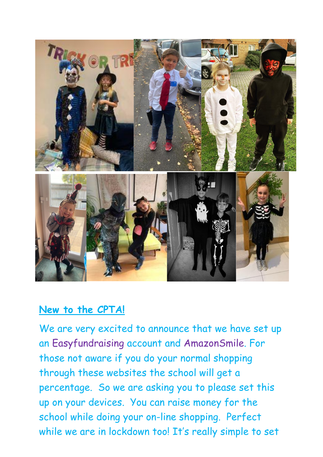

### **New to the CPTA!**

We are very excited to announce that we have set up an Easyfundraising account and AmazonSmile. For those not aware if you do your normal shopping through these websites the school will get a percentage. So we are asking you to please set this up on your devices. You can raise money for the school while doing your on-line shopping. Perfect while we are in lockdown too! It's really simple to set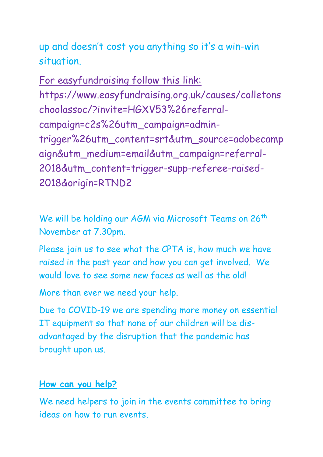up and doesn't cost you anything so it's a win-win situation.

For easyfundraising follow this link: https://www.easyfundraising.org.uk/causes/colletons choolassoc/?invite=HGXV53%26referralcampaign=c2s%26utm\_campaign=admintrigger%26utm\_content=srt&utm\_source=adobecamp aign&utm\_medium=email&utm\_campaign=referral-2018&utm\_content=trigger-supp-referee-raised-2018&origin=RTND2

We will be holding our AGM via Microsoft Teams on 26<sup>th</sup> November at 7.30pm.

Please join us to see what the CPTA is, how much we have raised in the past year and how you can get involved. We would love to see some new faces as well as the old!

More than ever we need your help.

Due to COVID-19 we are spending more money on essential IT equipment so that none of our children will be disadvantaged by the disruption that the pandemic has brought upon us.

#### **How can you help?**

We need helpers to join in the events committee to bring ideas on how to run events.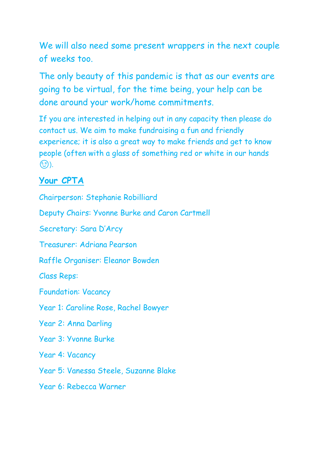We will also need some present wrappers in the next couple of weeks too.

The only beauty of this pandemic is that as our events are going to be virtual, for the time being, your help can be done around your work/home commitments.

If you are interested in helping out in any capacity then please do contact us. We aim to make fundraising a fun and friendly experience; it is also a great way to make friends and get to know people (often with a glass of something red or white in our hands  $\mathcal{E}$ ).

## **Your CPTA**

Chairperson: Stephanie Robilliard

Deputy Chairs: Yvonne Burke and Caron Cartmell

Secretary: Sara D'Arcy

Treasurer: Adriana Pearson

Raffle Organiser: Eleanor Bowden

Class Reps:

Foundation: Vacancy

Year 1: Caroline Rose, Rachel Bowyer

Year 2: Anna Darling

Year 3: Yvonne Burke

Year 4: Vacancy

Year 5: Vanessa Steele, Suzanne Blake

Year 6: Rebecca Warner